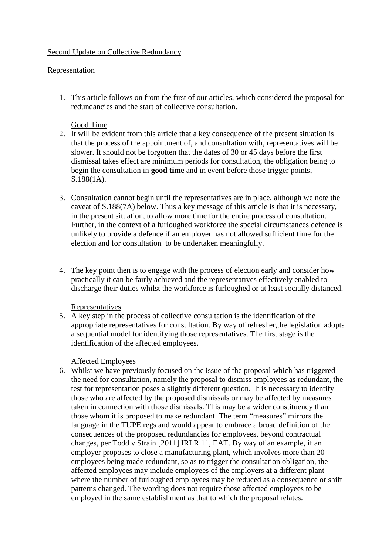# Second Update on Collective Redundancy

# Representation

1. This article follows on from the first of our articles, which considered the proposal for redundancies and the start of collective consultation.

# Good Time

- 2. It will be evident from this article that a key consequence of the present situation is that the process of the appointment of, and consultation with, representatives will be slower. It should not be forgotten that the dates of 30 or 45 days before the first dismissal takes effect are minimum periods for consultation, the obligation being to begin the consultation in **good time** and in event before those trigger points, S.188(1A).
- 3. Consultation cannot begin until the representatives are in place, although we note the caveat of S.188(7A) below. Thus a key message of this article is that it is necessary, in the present situation, to allow more time for the entire process of consultation. Further, in the context of a furloughed workforce the special circumstances defence is unlikely to provide a defence if an employer has not allowed sufficient time for the election and for consultation to be undertaken meaningfully.
- 4. The key point then is to engage with the process of election early and consider how practically it can be fairly achieved and the representatives effectively enabled to discharge their duties whilst the workforce is furloughed or at least socially distanced.

## Representatives

5. A key step in the process of collective consultation is the identification of the appropriate representatives for consultation. By way of refresher,the legislation adopts a sequential model for identifying those representatives. The first stage is the identification of the affected employees.

## Affected Employees

6. Whilst we have previously focused on the issue of the proposal which has triggered the need for consultation, namely the proposal to dismiss employees as redundant, the test for representation poses a slightly different question. It is necessary to identify those who are affected by the proposed dismissals or may be affected by measures taken in connection with those dismissals. This may be a wider constituency than those whom it is proposed to make redundant. The term "measures" mirrors the language in the TUPE regs and would appear to embrace a broad definition of the consequences of the proposed redundancies for employees, beyond contractual changes, per Todd v Strain [2011] IRLR 11, EAT. By way of an example, if an employer proposes to close a manufacturing plant, which involves more than 20 employees being made redundant, so as to trigger the consultation obligation, the affected employees may include employees of the employers at a different plant where the number of furloughed employees may be reduced as a consequence or shift patterns changed. The wording does not require those affected employees to be employed in the same establishment as that to which the proposal relates.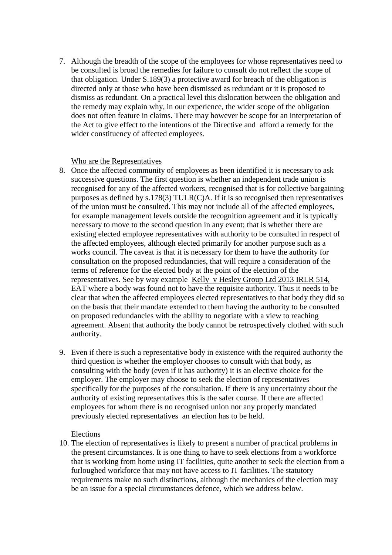7. Although the breadth of the scope of the employees for whose representatives need to be consulted is broad the remedies for failure to consult do not reflect the scope of that obligation. Under S.189(3) a protective award for breach of the obligation is directed only at those who have been dismissed as redundant or it is proposed to dismiss as redundant. On a practical level this dislocation between the obligation and the remedy may explain why, in our experience, the wider scope of the obligation does not often feature in claims. There may however be scope for an interpretation of the Act to give effect to the intentions of the Directive and afford a remedy for the wider constituency of affected employees.

#### Who are the Representatives

- 8. Once the affected community of employees as been identified it is necessary to ask successive questions. The first question is whether an independent trade union is recognised for any of the affected workers, recognised that is for collective bargaining purposes as defined by s.178(3) TULR(C)A. If it is so recognised then representatives of the union must be consulted. This may not include all of the affected employees, for example management levels outside the recognition agreement and it is typically necessary to move to the second question in any event; that is whether there are existing elected employee representatives with authority to be consulted in respect of the affected employees, although elected primarily for another purpose such as a works council. The caveat is that it is necessary for them to have the authority for consultation on the proposed redundancies, that will require a consideration of the terms of reference for the elected body at the point of the election of the representatives. See by way example [Kelly v Hesley Group Ltd 2013 IRLR 514,](https://uk.westlaw.com/Link/Document/FullText?findType=Y&serNum=2030554286&pubNum=4750&originatingDoc=IFDA53F3055E011E79153C39CF1D5DBAB&refType=UC&originationContext=document&transitionType=CommentaryUKLink&contextData=(sc.Category))  [EAT](https://uk.westlaw.com/Link/Document/FullText?findType=Y&serNum=2030554286&pubNum=4750&originatingDoc=IFDA53F3055E011E79153C39CF1D5DBAB&refType=UC&originationContext=document&transitionType=CommentaryUKLink&contextData=(sc.Category)) where a body was found not to have the requisite authority. Thus it needs to be clear that when the affected employees elected representatives to that body they did so on the basis that their mandate extended to them having the authority to be consulted on proposed redundancies with the ability to negotiate with a view to reaching agreement. Absent that authority the body cannot be retrospectively clothed with such authority.
- 9. Even if there is such a representative body in existence with the required authority the third question is whether the employer chooses to consult with that body, as consulting with the body (even if it has authority) it is an elective choice for the employer. The employer may choose to seek the election of representatives specifically for the purposes of the consultation. If there is any uncertainty about the authority of existing representatives this is the safer course. If there are affected employees for whom there is no recognised union nor any properly mandated previously elected representatives an election has to be held.

## Elections

10. The election of representatives is likely to present a number of practical problems in the present circumstances. It is one thing to have to seek elections from a workforce that is working from home using IT facilities, quite another to seek the election from a furloughed workforce that may not have access to IT facilities. The statutory requirements make no such distinctions, although the mechanics of the election may be an issue for a special circumstances defence, which we address below.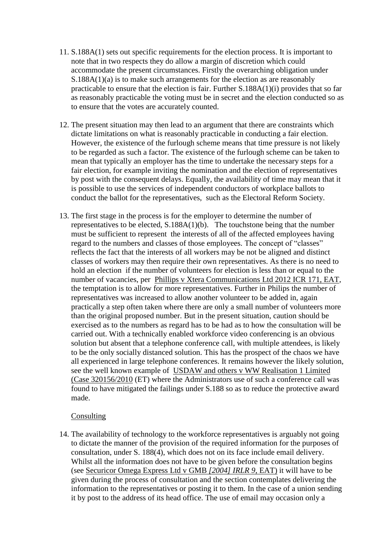- 11. S.188A(1) sets out specific requirements for the election process. It is important to note that in two respects they do allow a margin of discretion which could accommodate the present circumstances. Firstly the overarching obligation under S.188A(1)(a) is to make such arrangements for the election as are reasonably practicable to ensure that the election is fair. Further S.188A(1)(i) provides that so far as reasonably practicable the voting must be in secret and the election conducted so as to ensure that the votes are accurately counted.
- 12. The present situation may then lead to an argument that there are constraints which dictate limitations on what is reasonably practicable in conducting a fair election. However, the existence of the furlough scheme means that time pressure is not likely to be regarded as such a factor. The existence of the furlough scheme can be taken to mean that typically an employer has the time to undertake the necessary steps for a fair election, for example inviting the nomination and the election of representatives by post with the consequent delays. Equally, the availability of time may mean that it is possible to use the services of independent conductors of workplace ballots to conduct the ballot for the representatives, such as the Electoral Reform Society.
- 13. The first stage in the process is for the employer to determine the number of representatives to be elected, S.188A(1)(b). The touchstone being that the number must be sufficient to represent the interests of all of the affected employees having regard to the numbers and classes of those employees. The concept of "classes" reflects the fact that the interests of all workers may be not be aligned and distinct classes of workers may then require their own representatives. As there is no need to hold an election if the number of volunteers for election is less than or equal to the number of vacancies, per [Phillips v Xtera Communications Ltd 2012 ICR 171, EAT,](https://uk.westlaw.com/Link/Document/FullText?findType=Y&serNum=2024897095&pubNum=4740&originatingDoc=IFC520B4055E011E79153C39CF1D5DBAB&refType=UC&originationContext=document&transitionType=CommentaryUKLink&contextData=(sc.Category)) the temptation is to allow for more representatives. Further in Philips the number of representatives was increased to allow another volunteer to be added in, again practically a step often taken where there are only a small number of volunteers more than the original proposed number. But in the present situation, caution should be exercised as to the numbers as regard has to be had as to how the consultation will be carried out. With a technically enabled workforce video conferencing is an obvious solution but absent that a telephone conference call, with multiple attendees, is likely to be the only socially distanced solution. This has the prospect of the chaos we have all experienced in large telephone conferences. It remains however the likely solution, see the well known example of USDAW and others v WW Realisation 1 Limited (Case 320156/2010 (ET) where the Administrators use of such a conference call was found to have mitigated the failings under S.188 so as to reduce the protective award made.

#### Consulting

14. The availability of technology to the workforce representatives is arguably not going to dictate the manner of the provision of the required information for the purposes of consultation, under S. 188(4), which does not on its face include email delivery. Whilst all the information does not have to be given before the consultation begins (see Securicor Omega Express Ltd v GMB *[\[2004\]](https://www.lexisnexis.com/uk/legal/search/enhRunRemoteLink.do?linkInfo=F%23GB%23IRLR%23sel1%252004%25year%252004%25page%259%25&A=0.6717396843132444&backKey=20_T29244852285&service=citation&ersKey=23_T29244805595&langcountry=GB) IRLR 9*, EAT) it will have to be given during the process of consultation and the section contemplates delivering the information to the representatives or posting it to them. In the case of a union sending it by post to the address of its head office. The use of email may occasion only a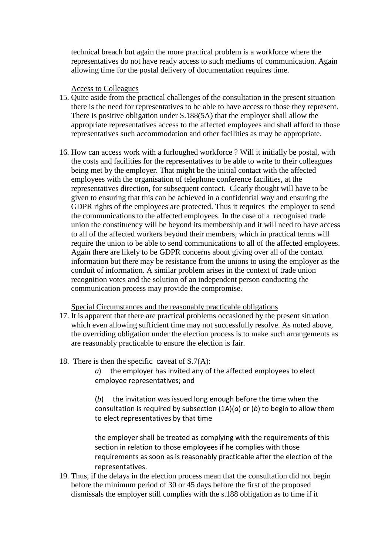technical breach but again the more practical problem is a workforce where the representatives do not have ready access to such mediums of communication. Again allowing time for the postal delivery of documentation requires time.

## Access to Colleagues

- 15. Quite aside from the practical challenges of the consultation in the present situation there is the need for representatives to be able to have access to those they represent. There is positive obligation under S.188(5A) that the employer shall allow the appropriate representatives access to the affected employees and shall afford to those representatives such accommodation and other facilities as may be appropriate.
- 16. How can access work with a furloughed workforce ? Will it initially be postal, with the costs and facilities for the representatives to be able to write to their colleagues being met by the employer. That might be the initial contact with the affected employees with the organisation of telephone conference facilities, at the representatives direction, for subsequent contact. Clearly thought will have to be given to ensuring that this can be achieved in a confidential way and ensuring the GDPR rights of the employees are protected. Thus it requires the employer to send the communications to the affected employees. In the case of a recognised trade union the constituency will be beyond its membership and it will need to have access to all of the affected workers beyond their members, which in practical terms will require the union to be able to send communications to all of the affected employees. Again there are likely to be GDPR concerns about giving over all of the contact information but there may be resistance from the unions to using the employer as the conduit of information. A similar problem arises in the context of trade union recognition votes and the solution of an independent person conducting the communication process may provide the compromise.

Special Circumstances and the reasonably practicable obligations

- 17. It is apparent that there are practical problems occasioned by the present situation which even allowing sufficient time may not successfully resolve. As noted above, the overriding obligation under the election process is to make such arrangements as are reasonably practicable to ensure the election is fair.
- 18. There is then the specific caveat of  $S.7(A)$ :
	- *a*) the employer has invited any of the affected employees to elect employee representatives; and

(*b*) the invitation was issued long enough before the time when the consultation is required by subsection (1A)(*a*) or (*b*) to begin to allow them to elect representatives by that time

the employer shall be treated as complying with the requirements of this section in relation to those employees if he complies with those requirements as soon as is reasonably practicable after the election of the representatives.

19. Thus, if the delays in the election process mean that the consultation did not begin before the minimum period of 30 or 45 days before the first of the proposed dismissals the employer still complies with the s.188 obligation as to time if it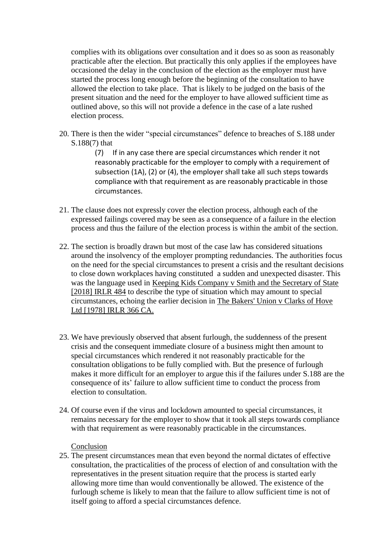complies with its obligations over consultation and it does so as soon as reasonably practicable after the election. But practically this only applies if the employees have occasioned the delay in the conclusion of the election as the employer must have started the process long enough before the beginning of the consultation to have allowed the election to take place. That is likely to be judged on the basis of the present situation and the need for the employer to have allowed sufficient time as outlined above, so this will not provide a defence in the case of a late rushed election process.

20. There is then the wider "special circumstances" defence to breaches of S.188 under S.188(7) that

> (7) If in any case there are special circumstances which render it not reasonably practicable for the employer to comply with a requirement of subsection (1A), (2) or (4), the employer shall take all such steps towards compliance with that requirement as are reasonably practicable in those circumstances.

- 21. The clause does not expressly cover the election process, although each of the expressed failings covered may be seen as a consequence of a failure in the election process and thus the failure of the election process is within the ambit of the section.
- 22. The section is broadly drawn but most of the case law has considered situations around the insolvency of the employer prompting redundancies. The authorities focus on the need for the special circumstances to present a crisis and the resultant decisions to close down workplaces having constituted a sudden and unexpected disaster. This was the language used in Keeping Kids Company v Smith and the Secretary of State [2018] IRLR 484 to describe the type of situation which may amount to special circumstances, echoing the earlier decision in The Bakers' Union v Clarks of Hove Ltd [1978] IRLR 366 CA.
- 23. We have previously observed that absent furlough, the suddenness of the present crisis and the consequent immediate closure of a business might then amount to special circumstances which rendered it not reasonably practicable for the consultation obligations to be fully complied with. But the presence of furlough makes it more difficult for an employer to argue this if the failures under S.188 are the consequence of its' failure to allow sufficient time to conduct the process from election to consultation.
- 24. Of course even if the virus and lockdown amounted to special circumstances, it remains necessary for the employer to show that it took all steps towards compliance with that requirement as were reasonably practicable in the circumstances.

Conclusion

25. The present circumstances mean that even beyond the normal dictates of effective consultation, the practicalities of the process of election of and consultation with the representatives in the present situation require that the process is started early allowing more time than would conventionally be allowed. The existence of the furlough scheme is likely to mean that the failure to allow sufficient time is not of itself going to afford a special circumstances defence.